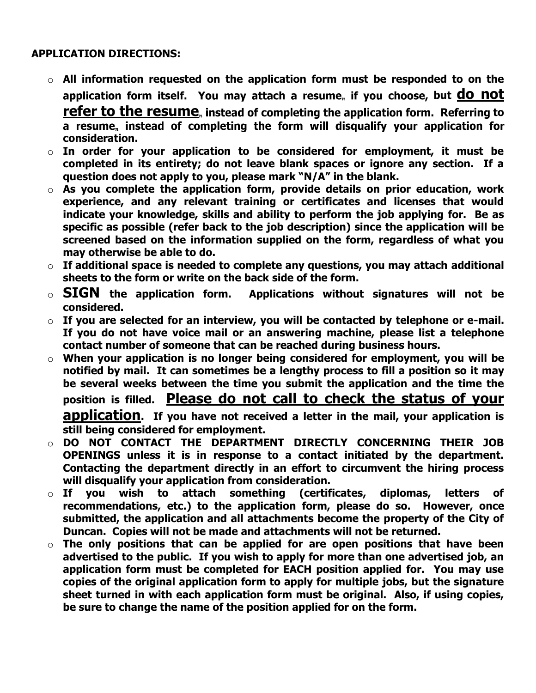## **APPLICATION DIRECTIONS:**

- o **All information requested on the application form must be responded to on the**  application form itself. You may attach a resume<sub>n</sub> if you choose, but **do not refer to the resume** instead of completing the application form. Referring to a resume, instead of completing the form will disqualify your application for **consideration.**
- o **In order for your application to be considered for employment, it must be completed in its entirety; do not leave blank spaces or ignore any section. If a question does not apply to you, please mark "N/A" in the blank.**
- o **As you complete the application form, provide details on prior education, work experience, and any relevant training or certificates and licenses that would indicate your knowledge, skills and ability to perform the job applying for. Be as specific as possible (refer back to the job description) since the application will be screened based on the information supplied on the form, regardless of what you may otherwise be able to do.**
- o **If additional space is needed to complete any questions, you may attach additional sheets to the form or write on the back side of the form.**
- o **SIGN the application form. Applications without signatures will not be considered.**
- o **If you are selected for an interview, you will be contacted by telephone or e-mail. If you do not have voice mail or an answering machine, please list a telephone contact number of someone that can be reached during business hours.**
- o **When your application is no longer being considered for employment, you will be notified by mail. It can sometimes be a lengthy process to fill a position so it may be several weeks between the time you submit the application and the time the position is filled. Please do not call to check the status of your**

**application. If you have not received a letter in the mail, your application is still being considered for employment.** 

- o **DO NOT CONTACT THE DEPARTMENT DIRECTLY CONCERNING THEIR JOB OPENINGS unless it is in response to a contact initiated by the department. Contacting the department directly in an effort to circumvent the hiring process will disqualify your application from consideration.**
- o **If you wish to attach something (certificates, diplomas, letters of recommendations, etc.) to the application form, please do so. However, once submitted, the application and all attachments become the property of the City of Duncan. Copies will not be made and attachments will not be returned.**
- o **The only positions that can be applied for are open positions that have been advertised to the public. If you wish to apply for more than one advertised job, an application form must be completed for EACH position applied for. You may use copies of the original application form to apply for multiple jobs, but the signature sheet turned in with each application form must be original. Also, if using copies, be sure to change the name of the position applied for on the form.**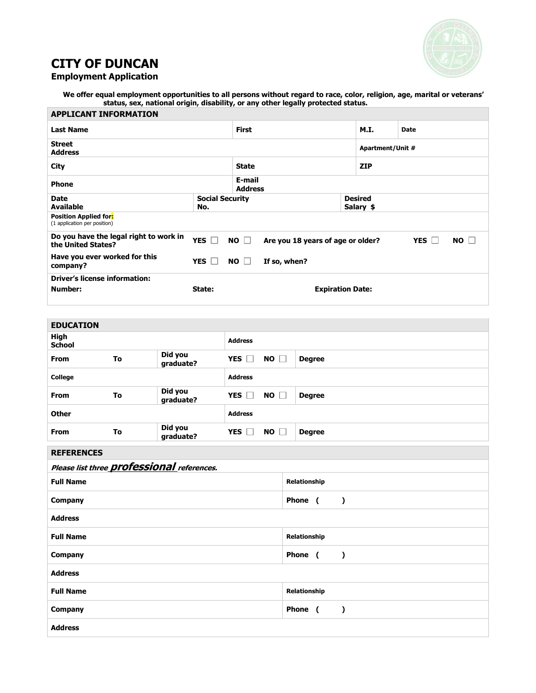

# **CITY OF DUNCAN**

| <b>Employment Application</b> |
|-------------------------------|
|-------------------------------|

**We offer equal employment opportunities to all persons without regard to race, color, religion, age, marital or veterans' status, sex, national origin, disability, or any other legally protected status.**  $\overline{\phantom{a}}$ 

| <b>APPLICANT INFORMATION</b>                                                                                                                       |                               |                           |                         |                             |  |  |
|----------------------------------------------------------------------------------------------------------------------------------------------------|-------------------------------|---------------------------|-------------------------|-----------------------------|--|--|
| <b>Last Name</b>                                                                                                                                   | <b>First</b>                  |                           | <b>M.I.</b>             | <b>Date</b>                 |  |  |
| <b>Street</b><br><b>Address</b>                                                                                                                    |                               |                           | Apartment/Unit #        |                             |  |  |
| <b>City</b>                                                                                                                                        | <b>State</b>                  |                           | <b>ZIP</b>              |                             |  |  |
| <b>Phone</b>                                                                                                                                       | E-mail<br><b>Address</b>      |                           |                         |                             |  |  |
| <b>Date</b><br><b>Available</b>                                                                                                                    | <b>Social Security</b><br>No. |                           |                         | <b>Desired</b><br>Salary \$ |  |  |
| <b>Position Applied for:</b><br>(1 application per position)                                                                                       |                               |                           |                         |                             |  |  |
| Do you have the legal right to work in<br>YES $\Gamma$<br>NO<br>Are you 18 years of age or older?<br><b>YES</b><br><b>NO</b><br>the United States? |                               |                           |                         |                             |  |  |
| Have you ever worked for this<br>company?                                                                                                          | YES                           | <b>NO</b><br>If so, when? |                         |                             |  |  |
| <b>Driver's license information:</b><br>Number:                                                                                                    | State:                        |                           | <b>Expiration Date:</b> |                             |  |  |

| <b>EDUCATION</b>                 |                |                                                   |                |           |               |  |           |
|----------------------------------|----------------|---------------------------------------------------|----------------|-----------|---------------|--|-----------|
| <b>High</b><br><b>School</b>     |                |                                                   | <b>Address</b> |           |               |  |           |
| <b>From</b>                      | To             | Did you<br>graduate?                              | YES $\Box$     | $NO \Box$ | <b>Degree</b> |  |           |
| College                          |                |                                                   | <b>Address</b> |           |               |  |           |
| <b>From</b>                      | To             | Did you<br>graduate?                              | YES $\Box$     | NO        | <b>Degree</b> |  |           |
| <b>Other</b>                     | <b>Address</b> |                                                   |                |           |               |  |           |
| From                             | To             | Did you<br>graduate?                              | YES $\square$  | NO        | <b>Degree</b> |  |           |
| <b>REFERENCES</b>                |                |                                                   |                |           |               |  |           |
|                                  |                | Please list three <b>professional</b> references. |                |           |               |  |           |
| <b>Full Name</b><br>Relationship |                |                                                   |                |           |               |  |           |
| Company                          |                |                                                   |                |           | Phone (       |  | $\lambda$ |
| <b>Address</b>                   |                |                                                   |                |           |               |  |           |
| <b>Full Name</b>                 |                |                                                   |                |           | Relationship  |  |           |
| Company                          |                |                                                   |                |           | Phone (       |  | $\lambda$ |
| <b>Address</b>                   |                |                                                   |                |           |               |  |           |
| <b>Full Name</b>                 |                |                                                   |                |           | Relationship  |  |           |
| <b>Company</b>                   |                |                                                   |                |           | Phone (       |  | $\lambda$ |
| <b>Address</b>                   |                |                                                   |                |           |               |  |           |
|                                  |                |                                                   |                |           |               |  |           |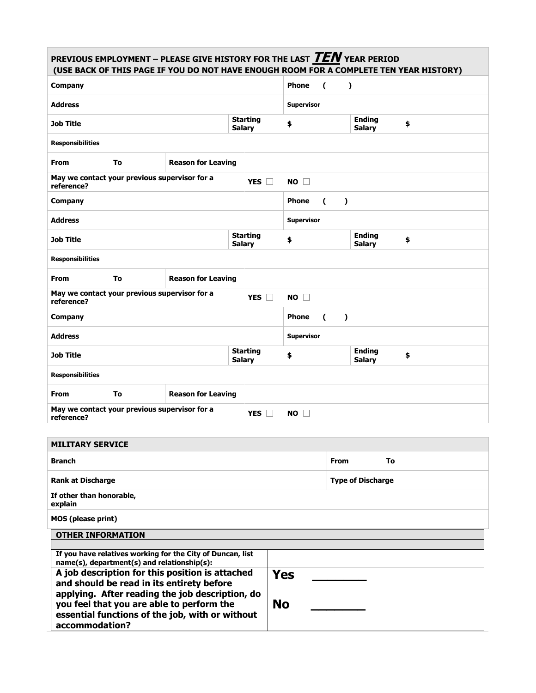### **PREVIOUS EMPLOYMENT – PLEASE GIVE HISTORY FOR THE LAST TEN YEAR PERIOD (USE BACK OF THIS PAGE IF YOU DO NOT HAVE ENOUGH ROOM FOR A COMPLETE TEN YEAR HISTORY) Company Phone (** ) **Address Supervisor Job Title Starting Starting Salary \$ Ending Salary \$ Responsibilities From To Reason for Leaving May we contact your previous supervisor for a reference? YES NO Company Phone (** ) **Address Supervisor Job Title Starting Starting Salary \$ Ending Salary \$ Responsibilities From To Reason for Leaving May we contact your previous supervisor for a reference? YES NO Company Phone (** ) **Address Supervisor Supervisor Job Title Starting Starting Salary \$ Ending Salary \$ Responsibilities**

| <b>From</b> | To | <b>Reason for Leaving</b>                     |                         |
|-------------|----|-----------------------------------------------|-------------------------|
| reference?  |    | May we contact your previous supervisor for a | <b>YES</b><br><b>NO</b> |

| <b>MILITARY SERVICE</b>                                                                                      |           |                          |    |
|--------------------------------------------------------------------------------------------------------------|-----------|--------------------------|----|
| <b>Branch</b>                                                                                                |           | <b>From</b>              | To |
| <b>Rank at Discharge</b>                                                                                     |           | <b>Type of Discharge</b> |    |
| If other than honorable,<br>explain                                                                          |           |                          |    |
| MOS (please print)                                                                                           |           |                          |    |
| <b>OTHER INFORMATION</b>                                                                                     |           |                          |    |
|                                                                                                              |           |                          |    |
| If you have relatives working for the City of Duncan, list<br>$name(s)$ , department(s) and relationship(s): |           |                          |    |
| A job description for this position is attached                                                              | Yes       |                          |    |
| and should be read in its entirety before<br>applying. After reading the job description, do                 |           |                          |    |
| you feel that you are able to perform the                                                                    | <b>No</b> |                          |    |
| essential functions of the job, with or without                                                              |           |                          |    |
| accommodation?                                                                                               |           |                          |    |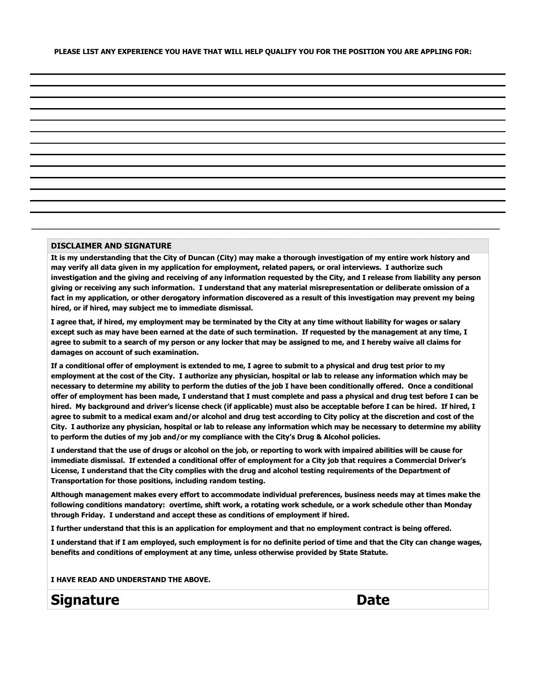#### **DISCLAIMER AND SIGNATURE**

**It is my understanding that the City of Duncan (City) may make a thorough investigation of my entire work history and may verify all data given in my application for employment, related papers, or oral interviews. I authorize such investigation and the giving and receiving of any information requested by the City, and I release from liability any person giving or receiving any such information. I understand that any material misrepresentation or deliberate omission of a fact in my application, or other derogatory information discovered as a result of this investigation may prevent my being hired, or if hired, may subject me to immediate dismissal.**

**\_\_\_\_\_\_\_\_\_\_\_\_\_\_\_\_\_\_\_\_\_\_\_\_\_\_\_\_\_\_\_\_\_\_\_\_\_\_\_\_\_\_\_\_\_\_\_\_\_\_\_\_\_\_\_\_\_\_\_\_\_\_\_\_\_\_\_\_\_\_\_\_\_\_\_\_\_\_\_\_\_\_\_\_\_\_\_\_\_\_\_\_\_\_\_\_\_\_\_\_\_\_\_\_\_**

**I agree that, if hired, my employment may be terminated by the City at any time without liability for wages or salary except such as may have been earned at the date of such termination. If requested by the management at any time, I agree to submit to a search of my person or any locker that may be assigned to me, and I hereby waive all claims for damages on account of such examination.**

**If a conditional offer of employment is extended to me, I agree to submit to a physical and drug test prior to my employment at the cost of the City. I authorize any physician, hospital or lab to release any information which may be necessary to determine my ability to perform the duties of the job I have been conditionally offered. Once a conditional offer of employment has been made, I understand that I must complete and pass a physical and drug test before I can be hired. My background and driver's license check (if applicable) must also be acceptable before I can be hired. If hired, I agree to submit to a medical exam and/or alcohol and drug test according to City policy at the discretion and cost of the City. I authorize any physician, hospital or lab to release any information which may be necessary to determine my ability to perform the duties of my job and/or my compliance with the City's Drug & Alcohol policies.**

**I understand that the use of drugs or alcohol on the job, or reporting to work with impaired abilities will be cause for immediate dismissal. If extended a conditional offer of employment for a City job that requires a Commercial Driver's License, I understand that the City complies with the drug and alcohol testing requirements of the Department of Transportation for those positions, including random testing.**

**Although management makes every effort to accommodate individual preferences, business needs may at times make the following conditions mandatory: overtime, shift work, a rotating work schedule, or a work schedule other than Monday through Friday. I understand and accept these as conditions of employment if hired.**

**I further understand that this is an application for employment and that no employment contract is being offered.**

**I understand that if I am employed, such employment is for no definite period of time and that the City can change wages, benefits and conditions of employment at any time, unless otherwise provided by State Statute.**

**I HAVE READ AND UNDERSTAND THE ABOVE.**

**Signature Date**